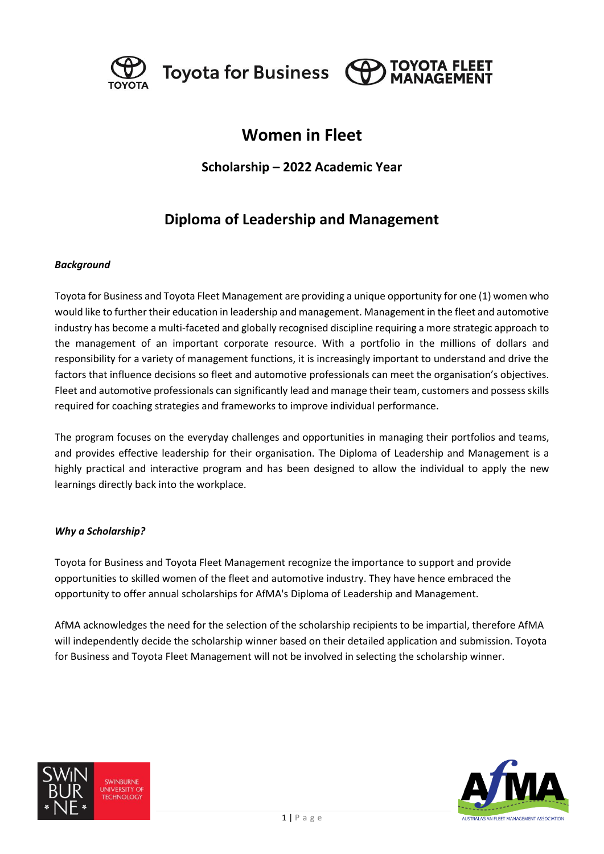

Toyota for Business  $\Theta$ 



# **Women in Fleet**

### **Scholarship – 2022 Academic Year**

## **Diploma of Leadership and Management**

### *Background*

Toyota for Business and Toyota Fleet Management are providing a unique opportunity for one (1) women who would like to further their education in leadership and management. Management in the fleet and automotive industry has become a multi-faceted and globally recognised discipline requiring a more strategic approach to the management of an important corporate resource. With a portfolio in the millions of dollars and responsibility for a variety of management functions, it is increasingly important to understand and drive the factors that influence decisions so fleet and automotive professionals can meet the organisation's objectives. Fleet and automotive professionals can significantly lead and manage their team, customers and possess skills required for coaching strategies and frameworks to improve individual performance.

The program focuses on the everyday challenges and opportunities in managing their portfolios and teams, and provides effective leadership for their organisation. The Diploma of Leadership and Management is a highly practical and interactive program and has been designed to allow the individual to apply the new learnings directly back into the workplace.

#### *Why a Scholarship?*

Toyota for Business and Toyota Fleet Management recognize the importance to support and provide opportunities to skilled women of the fleet and automotive industry. They have hence embraced the opportunity to offer annual scholarships for AfMA's Diploma of Leadership and Management.

AfMA acknowledges the need for the selection of the scholarship recipients to be impartial, therefore AfMA will independently decide the scholarship winner based on their detailed application and submission. Toyota for Business and Toyota Fleet Management will not be involved in selecting the scholarship winner.



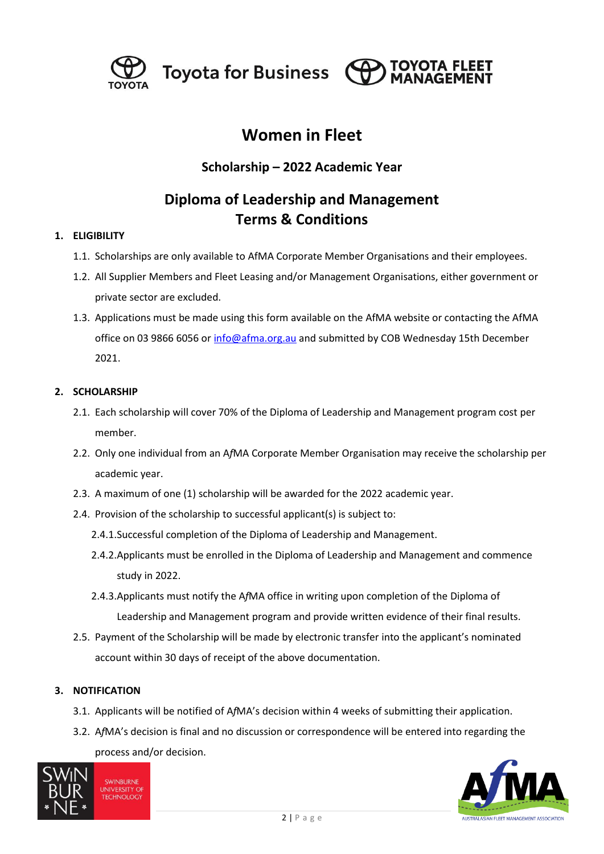

Toyota for Business (O

# **Women in Fleet**

**TOYOTA FLEET** 

## **Scholarship – 2022 Academic Year**

# **Diploma of Leadership and Management Terms & Conditions**

### **1. ELIGIBILITY**

- 1.1. Scholarships are only available to AfMA Corporate Member Organisations and their employees.
- 1.2. All Supplier Members and Fleet Leasing and/or Management Organisations, either government or private sector are excluded.
- 1.3. Applications must be made using this form available on the AfMA website or contacting the AfMA office on 03 9866 6056 o[r info@afma.org.au](mailto:info@afma.org.au) and submitted by COB Wednesday 15th December 2021.

### **2. SCHOLARSHIP**

- 2.1. Each scholarship will cover 70% of the Diploma of Leadership and Management program cost per member.
- 2.2. Only one individual from an A*f*MA Corporate Member Organisation may receive the scholarship per academic year.
- 2.3. A maximum of one (1) scholarship will be awarded for the 2022 academic year.
- 2.4. Provision of the scholarship to successful applicant(s) is subject to:
	- 2.4.1.Successful completion of the Diploma of Leadership and Management.
	- 2.4.2.Applicants must be enrolled in the Diploma of Leadership and Management and commence study in 2022.
	- 2.4.3.Applicants must notify the A*f*MA office in writing upon completion of the Diploma of Leadership and Management program and provide written evidence of their final results.
- 2.5. Payment of the Scholarship will be made by electronic transfer into the applicant's nominated account within 30 days of receipt of the above documentation.

### **3. NOTIFICATION**

- 3.1. Applicants will be notified of A*f*MA's decision within 4 weeks of submitting their application.
- 3.2. A*f*MA's decision is final and no discussion or correspondence will be entered into regarding the process and/or decision.